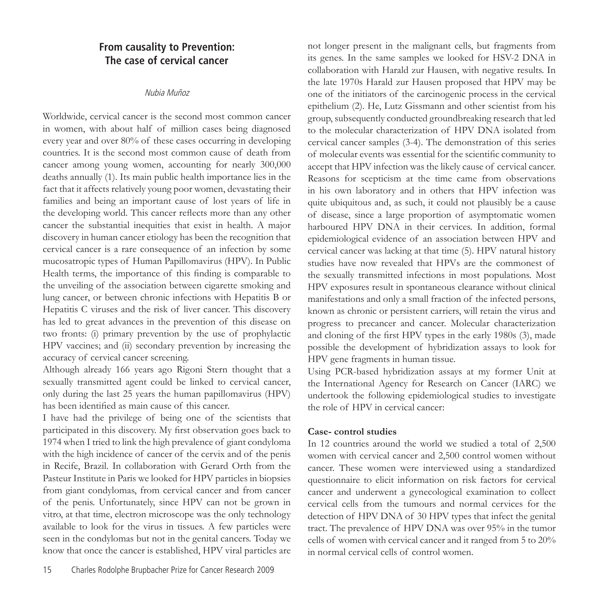# **From causality to Prevention: The case of cervical cancer**

## Nubia Muñoz

Worldwide, cervical cancer is the second most common cancer in women, with about half of million cases being diagnosed every year and over 80% of these cases occurring in developing countries. It is the second most common cause of death from cancer among young women, accounting for nearly 300,000 deaths annually (1). Its main public health importance lies in the fact that it affects relatively young poor women, devastating their families and being an important cause of lost years of life in the developing world. This cancer reflects more than any other cancer the substantial inequities that exist in health. A major discovery in human cancer etiology has been the recognition that cervical cancer is a rare consequence of an infection by some mucosatropic types of Human Papillomavirus (HPV). In Public Health terms, the importance of this finding is comparable to the unveiling of the association between cigarette smoking and lung cancer, or between chronic infections with Hepatitis B or Hepatitis C viruses and the risk of liver cancer. This discovery has led to great advances in the prevention of this disease on two fronts: (i) primary prevention by the use of prophylactic HPV vaccines; and (ii) secondary prevention by increasing the accuracy of cervical cancer screening.

Although already 166 years ago Rigoni Stern thought that a sexually transmitted agent could be linked to cervical cancer, only during the last 25 years the human papillomavirus (HPV) has been identified as main cause of this cancer.

I have had the privilege of being one of the scientists that participated in this discovery. My first observation goes back to 1974 when I tried to link the high prevalence of giant condyloma with the high incidence of cancer of the cervix and of the penis in Recife, Brazil. In collaboration with Gerard Orth from the Pasteur Institute in Paris we looked for HPV particles in biopsies from giant condylomas, from cervical cancer and from cancer of the penis. Unfortunately, since HPV can not be grown in vitro, at that time, electron microscope was the only technology available to look for the virus in tissues. A few particles were seen in the condylomas but not in the genital cancers. Today we know that once the cancer is established, HPV viral particles are

not longer present in the malignant cells, but fragments from its genes. In the same samples we looked for HSV-2 DNA in collaboration with Harald zur Hausen, with negative results. In the late 1970s Harald zur Hausen proposed that HPV may be one of the initiators of the carcinogenic process in the cervical epithelium (2). He, Lutz Gissmann and other scientist from his group, subsequently conducted groundbreaking research that led to the molecular characterization of HPV DNA isolated from cervical cancer samples (3-4). The demonstration of this series of molecular events was essential for the scientific community to accept that HPV infection was the likely cause of cervical cancer. Reasons for scepticism at the time came from observations in his own laboratory and in others that HPV infection was quite ubiquitous and, as such, it could not plausibly be a cause of disease, since a large proportion of asymptomatic women harboured HPV DNA in their cervices. In addition, formal epidemiological evidence of an association between HPV and cervical cancer was lacking at that time (5). HPV natural history studies have now revealed that HPVs are the commonest of the sexually transmitted infections in most populations. Most HPV exposures result in spontaneous clearance without clinical manifestations and only a small fraction of the infected persons, known as chronic or persistent carriers, will retain the virus and progress to precancer and cancer. Molecular characterization and cloning of the first HPV types in the early 1980s (3), made possible the development of hybridization assays to look for HPV gene fragments in human tissue.

Using PCR-based hybridization assays at my former Unit at the International Agency for Research on Cancer (IARC) we undertook the following epidemiological studies to investigate the role of HPV in cervical cancer:

## **Case- control studies**

In 12 countries around the world we studied a total of 2,500 women with cervical cancer and 2,500 control women without cancer. These women were interviewed using a standardized questionnaire to elicit information on risk factors for cervical cancer and underwent a gynecological examination to collect cervical cells from the tumours and normal cervices for the detection of HPV DNA of 30 HPV types that infect the genital tract. The prevalence of HPV DNA was over 95% in the tumor cells of women with cervical cancer and it ranged from 5 to 20% in normal cervical cells of control women.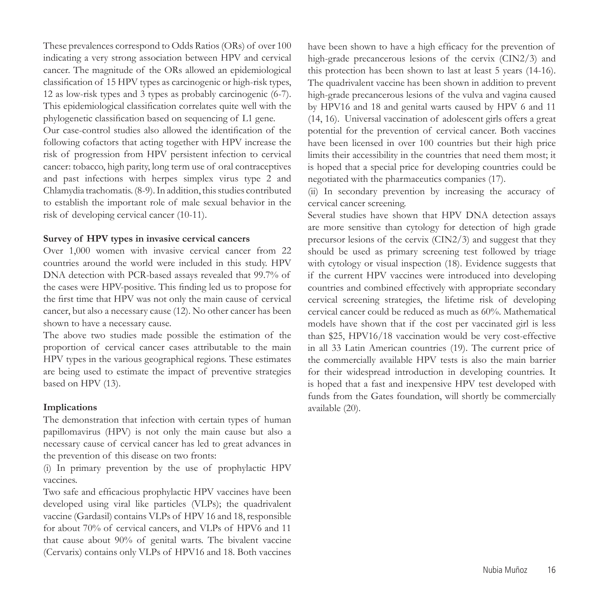These prevalences correspond to Odds Ratios (ORs) of over 100 indicating a very strong association between HPV and cervical cancer. The magnitude of the ORs allowed an epidemiological classification of 15 HPV types as carcinogenic or high-risk types, 12 as low-risk types and 3 types as probably carcinogenic (6-7). This epidemiological classification correlates quite well with the phylogenetic classification based on sequencing of L1 gene.

Our case-control studies also allowed the identification of the following cofactors that acting together with HPV increase the risk of progression from HPV persistent infection to cervical cancer: tobacco, high parity, long term use of oral contraceptives and past infections with herpes simplex virus type 2 and Chlamydia trachomatis. (8-9). In addition, this studies contributed to establish the important role of male sexual behavior in the risk of developing cervical cancer (10-11).

#### **Survey of HPV types in invasive cervical cancers**

Over 1,000 women with invasive cervical cancer from 22 countries around the world were included in this study. HPV DNA detection with PCR-based assays revealed that 99.7% of the cases were HPV-positive. This finding led us to propose for the first time that HPV was not only the main cause of cervical cancer, but also a necessary cause (12). No other cancer has been shown to have a necessary cause.

The above two studies made possible the estimation of the proportion of cervical cancer cases attributable to the main HPV types in the various geographical regions. These estimates are being used to estimate the impact of preventive strategies based on HPV (13).

## **Implications**

The demonstration that infection with certain types of human papillomavirus (HPV) is not only the main cause but also a necessary cause of cervical cancer has led to great advances in the prevention of this disease on two fronts:

(i) In primary prevention by the use of prophylactic HPV vaccines.

Two safe and efficacious prophylactic HPV vaccines have been developed using viral like particles (VLPs); the quadrivalent vaccine (Gardasil) contains VLPs of HPV 16 and 18, responsible for about 70% of cervical cancers, and VLPs of HPV6 and 11 that cause about 90% of genital warts. The bivalent vaccine (Cervarix) contains only VLPs of HPV16 and 18. Both vaccines have been shown to have a high efficacy for the prevention of high-grade precancerous lesions of the cervix (CIN2/3) and this protection has been shown to last at least 5 years (14-16). The quadrivalent vaccine has been shown in addition to prevent high-grade precancerous lesions of the vulva and vagina caused by HPV16 and 18 and genital warts caused by HPV 6 and 11 (14, 16). Universal vaccination of adolescent girls offers a great potential for the prevention of cervical cancer. Both vaccines have been licensed in over 100 countries but their high price limits their accessibility in the countries that need them most; it is hoped that a special price for developing countries could be negotiated with the pharmaceutics companies (17).

(ii) In secondary prevention by increasing the accuracy of cervical cancer screening.

Several studies have shown that HPV DNA detection assays are more sensitive than cytology for detection of high grade precursor lesions of the cervix (CIN2/3) and suggest that they should be used as primary screening test followed by triage with cytology or visual inspection (18). Evidence suggests that if the current HPV vaccines were introduced into developing countries and combined effectively with appropriate secondary cervical screening strategies, the lifetime risk of developing cervical cancer could be reduced as much as 60%. Mathematical models have shown that if the cost per vaccinated girl is less than \$25, HPV16/18 vaccination would be very cost-effective in all 33 Latin American countries (19). The current price of the commercially available HPV tests is also the main barrier for their widespread introduction in developing countries. It is hoped that a fast and inexpensive HPV test developed with funds from the Gates foundation, will shortly be commercially available (20).